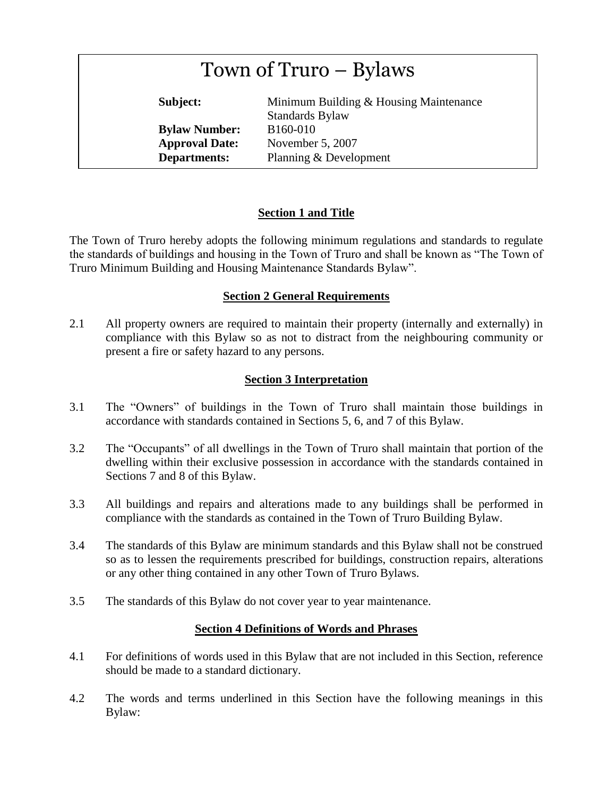| Town of Truro - Bylaws |  |
|------------------------|--|
|                        |  |

**Subject:** Minimum Building & Housing Maintenance Standards Bylaw **Bylaw Number:** B160-010 **Approval Date:** November 5, 2007 **Departments:** Planning & Development

# **Section 1 and Title**

The Town of Truro hereby adopts the following minimum regulations and standards to regulate the standards of buildings and housing in the Town of Truro and shall be known as "The Town of Truro Minimum Building and Housing Maintenance Standards Bylaw".

# **Section 2 General Requirements**

2.1 All property owners are required to maintain their property (internally and externally) in compliance with this Bylaw so as not to distract from the neighbouring community or present a fire or safety hazard to any persons.

# **Section 3 Interpretation**

- 3.1 The "Owners" of buildings in the Town of Truro shall maintain those buildings in accordance with standards contained in Sections 5, 6, and 7 of this Bylaw.
- 3.2 The "Occupants" of all dwellings in the Town of Truro shall maintain that portion of the dwelling within their exclusive possession in accordance with the standards contained in Sections 7 and 8 of this Bylaw.
- 3.3 All buildings and repairs and alterations made to any buildings shall be performed in compliance with the standards as contained in the Town of Truro Building Bylaw.
- 3.4 The standards of this Bylaw are minimum standards and this Bylaw shall not be construed so as to lessen the requirements prescribed for buildings, construction repairs, alterations or any other thing contained in any other Town of Truro Bylaws.
- 3.5 The standards of this Bylaw do not cover year to year maintenance.

## **Section 4 Definitions of Words and Phrases**

- 4.1 For definitions of words used in this Bylaw that are not included in this Section, reference should be made to a standard dictionary.
- 4.2 The words and terms underlined in this Section have the following meanings in this Bylaw: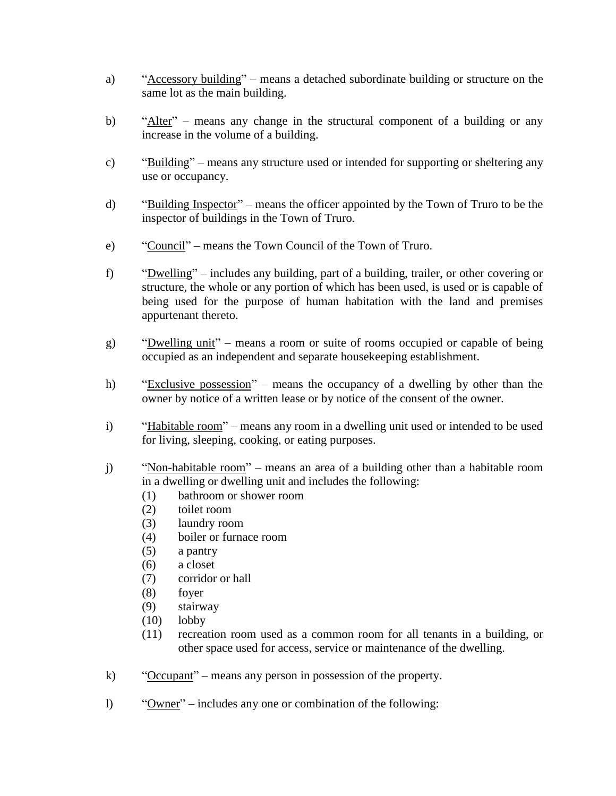- a) "Accessory building" means a detached subordinate building or structure on the same lot as the main building.
- b) "Alter" means any change in the structural component of a building or any increase in the volume of a building.
- c) "Building" means any structure used or intended for supporting or sheltering any use or occupancy.
- d) "Building Inspector" means the officer appointed by the Town of Truro to be the inspector of buildings in the Town of Truro.
- e) "Council" means the Town Council of the Town of Truro.
- f) "Dwelling" includes any building, part of a building, trailer, or other covering or structure, the whole or any portion of which has been used, is used or is capable of being used for the purpose of human habitation with the land and premises appurtenant thereto.
- g) "Dwelling unit" means a room or suite of rooms occupied or capable of being occupied as an independent and separate housekeeping establishment.
- h) "Exclusive possession" means the occupancy of a dwelling by other than the owner by notice of a written lease or by notice of the consent of the owner.
- i) "Habitable room" means any room in a dwelling unit used or intended to be used for living, sleeping, cooking, or eating purposes.
- j) "Non-habitable room" means an area of a building other than a habitable room in a dwelling or dwelling unit and includes the following:
	- (1) bathroom or shower room
	- (2) toilet room
	- (3) laundry room
	- (4) boiler or furnace room
	- (5) a pantry
	- (6) a closet
	- (7) corridor or hall
	- (8) foyer
	- (9) stairway
	- (10) lobby
	- (11) recreation room used as a common room for all tenants in a building, or other space used for access, service or maintenance of the dwelling.
- k) "Occupant" means any person in possession of the property.
- l) "Owner" includes any one or combination of the following: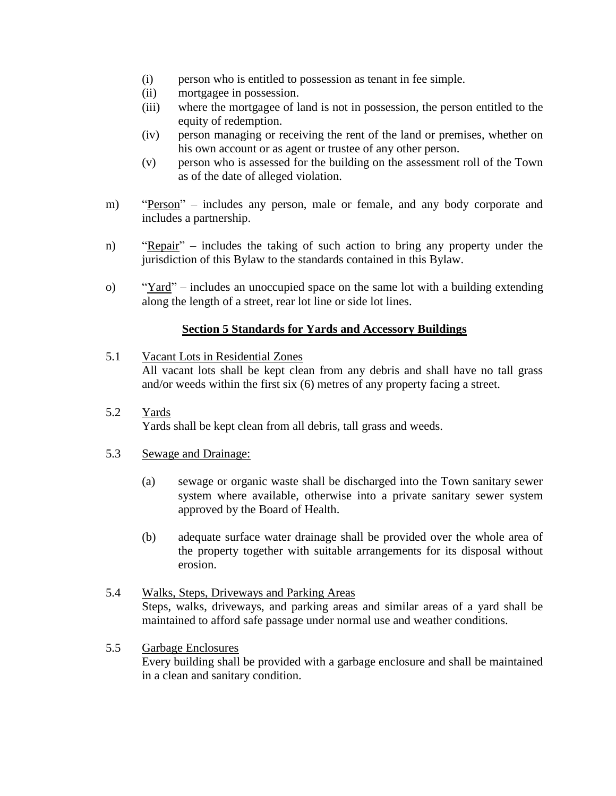- (i) person who is entitled to possession as tenant in fee simple.
- (ii) mortgagee in possession.
- (iii) where the mortgagee of land is not in possession, the person entitled to the equity of redemption.
- (iv) person managing or receiving the rent of the land or premises, whether on his own account or as agent or trustee of any other person.
- (v) person who is assessed for the building on the assessment roll of the Town as of the date of alleged violation.
- m) "Person" includes any person, male or female, and any body corporate and includes a partnership.
- n) "Repair" includes the taking of such action to bring any property under the jurisdiction of this Bylaw to the standards contained in this Bylaw.
- o) "Yard" includes an unoccupied space on the same lot with a building extending along the length of a street, rear lot line or side lot lines.

## **Section 5 Standards for Yards and Accessory Buildings**

- 5.1 Vacant Lots in Residential Zones All vacant lots shall be kept clean from any debris and shall have no tall grass and/or weeds within the first six (6) metres of any property facing a street.
- 5.2 Yards Yards shall be kept clean from all debris, tall grass and weeds.

### 5.3 Sewage and Drainage:

- (a) sewage or organic waste shall be discharged into the Town sanitary sewer system where available, otherwise into a private sanitary sewer system approved by the Board of Health.
- (b) adequate surface water drainage shall be provided over the whole area of the property together with suitable arrangements for its disposal without erosion.
- 5.4 Walks, Steps, Driveways and Parking Areas Steps, walks, driveways, and parking areas and similar areas of a yard shall be maintained to afford safe passage under normal use and weather conditions.
- 5.5 Garbage Enclosures

Every building shall be provided with a garbage enclosure and shall be maintained in a clean and sanitary condition.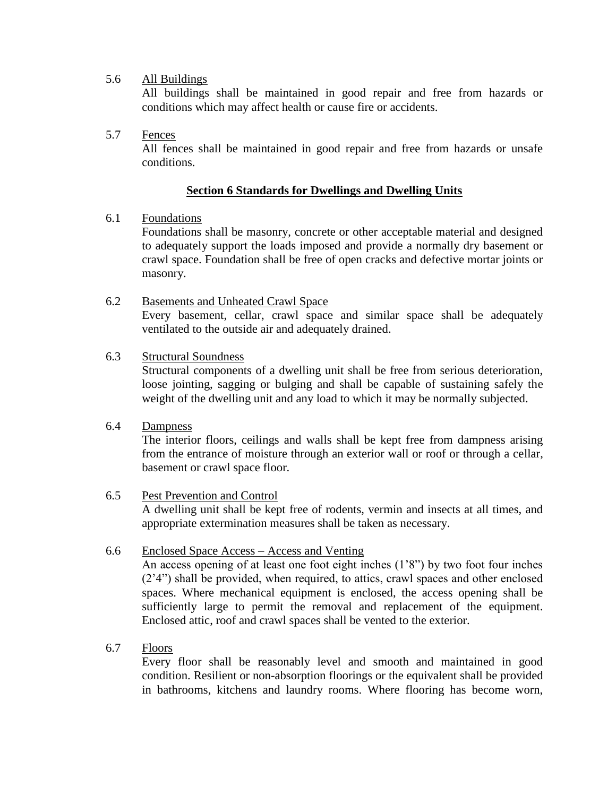## 5.6 All Buildings

All buildings shall be maintained in good repair and free from hazards or conditions which may affect health or cause fire or accidents.

## 5.7 Fences

All fences shall be maintained in good repair and free from hazards or unsafe conditions.

#### **Section 6 Standards for Dwellings and Dwelling Units**

### 6.1 Foundations

Foundations shall be masonry, concrete or other acceptable material and designed to adequately support the loads imposed and provide a normally dry basement or crawl space. Foundation shall be free of open cracks and defective mortar joints or masonry.

#### 6.2 Basements and Unheated Crawl Space Every basement, cellar, crawl space and similar space shall be adequately ventilated to the outside air and adequately drained.

### 6.3 Structural Soundness

Structural components of a dwelling unit shall be free from serious deterioration, loose jointing, sagging or bulging and shall be capable of sustaining safely the weight of the dwelling unit and any load to which it may be normally subjected.

### 6.4 Dampness

The interior floors, ceilings and walls shall be kept free from dampness arising from the entrance of moisture through an exterior wall or roof or through a cellar, basement or crawl space floor.

#### 6.5 Pest Prevention and Control

A dwelling unit shall be kept free of rodents, vermin and insects at all times, and appropriate extermination measures shall be taken as necessary.

#### 6.6 Enclosed Space Access – Access and Venting

An access opening of at least one foot eight inches (1'8") by two foot four inches (2'4") shall be provided, when required, to attics, crawl spaces and other enclosed spaces. Where mechanical equipment is enclosed, the access opening shall be sufficiently large to permit the removal and replacement of the equipment. Enclosed attic, roof and crawl spaces shall be vented to the exterior.

#### 6.7 Floors

Every floor shall be reasonably level and smooth and maintained in good condition. Resilient or non-absorption floorings or the equivalent shall be provided in bathrooms, kitchens and laundry rooms. Where flooring has become worn,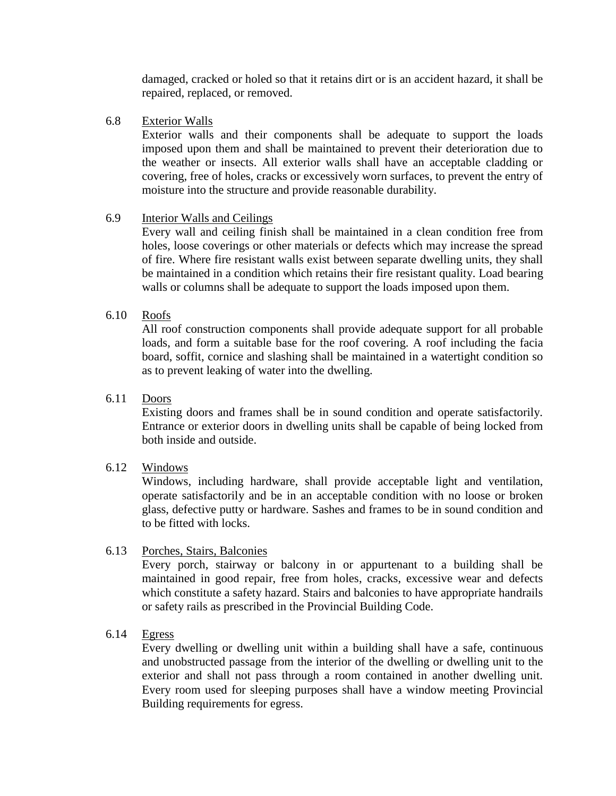damaged, cracked or holed so that it retains dirt or is an accident hazard, it shall be repaired, replaced, or removed.

6.8 Exterior Walls

Exterior walls and their components shall be adequate to support the loads imposed upon them and shall be maintained to prevent their deterioration due to the weather or insects. All exterior walls shall have an acceptable cladding or covering, free of holes, cracks or excessively worn surfaces, to prevent the entry of moisture into the structure and provide reasonable durability.

#### 6.9 Interior Walls and Ceilings

Every wall and ceiling finish shall be maintained in a clean condition free from holes, loose coverings or other materials or defects which may increase the spread of fire. Where fire resistant walls exist between separate dwelling units, they shall be maintained in a condition which retains their fire resistant quality. Load bearing walls or columns shall be adequate to support the loads imposed upon them.

## 6.10 Roofs

All roof construction components shall provide adequate support for all probable loads, and form a suitable base for the roof covering. A roof including the facia board, soffit, cornice and slashing shall be maintained in a watertight condition so as to prevent leaking of water into the dwelling.

#### 6.11 Doors

Existing doors and frames shall be in sound condition and operate satisfactorily. Entrance or exterior doors in dwelling units shall be capable of being locked from both inside and outside.

#### 6.12 Windows

Windows, including hardware, shall provide acceptable light and ventilation, operate satisfactorily and be in an acceptable condition with no loose or broken glass, defective putty or hardware. Sashes and frames to be in sound condition and to be fitted with locks.

#### 6.13 Porches, Stairs, Balconies

Every porch, stairway or balcony in or appurtenant to a building shall be maintained in good repair, free from holes, cracks, excessive wear and defects which constitute a safety hazard. Stairs and balconies to have appropriate handrails or safety rails as prescribed in the Provincial Building Code.

6.14 Egress

Every dwelling or dwelling unit within a building shall have a safe, continuous and unobstructed passage from the interior of the dwelling or dwelling unit to the exterior and shall not pass through a room contained in another dwelling unit. Every room used for sleeping purposes shall have a window meeting Provincial Building requirements for egress.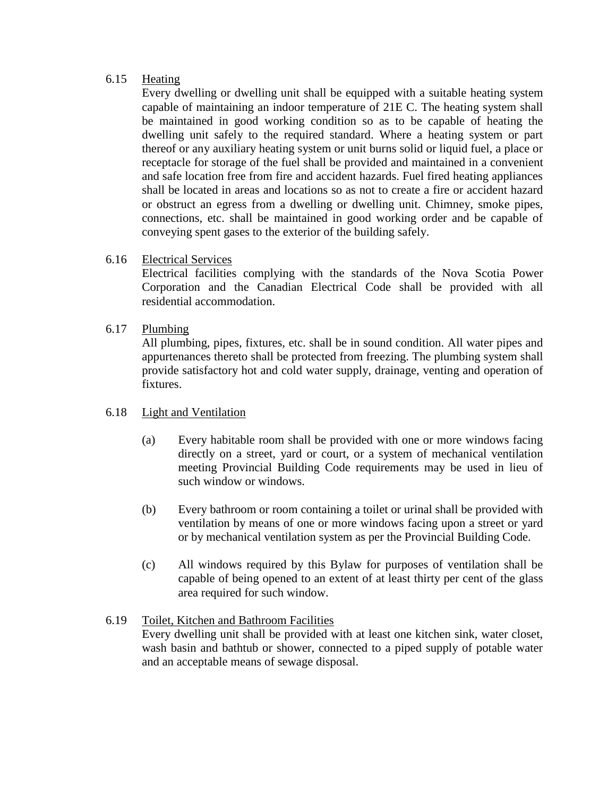### 6.15 Heating

Every dwelling or dwelling unit shall be equipped with a suitable heating system capable of maintaining an indoor temperature of 21E C. The heating system shall be maintained in good working condition so as to be capable of heating the dwelling unit safely to the required standard. Where a heating system or part thereof or any auxiliary heating system or unit burns solid or liquid fuel, a place or receptacle for storage of the fuel shall be provided and maintained in a convenient and safe location free from fire and accident hazards. Fuel fired heating appliances shall be located in areas and locations so as not to create a fire or accident hazard or obstruct an egress from a dwelling or dwelling unit. Chimney, smoke pipes, connections, etc. shall be maintained in good working order and be capable of conveying spent gases to the exterior of the building safely.

## 6.16 Electrical Services

Electrical facilities complying with the standards of the Nova Scotia Power Corporation and the Canadian Electrical Code shall be provided with all residential accommodation.

### 6.17 Plumbing

All plumbing, pipes, fixtures, etc. shall be in sound condition. All water pipes and appurtenances thereto shall be protected from freezing. The plumbing system shall provide satisfactory hot and cold water supply, drainage, venting and operation of fixtures.

#### 6.18 Light and Ventilation

- (a) Every habitable room shall be provided with one or more windows facing directly on a street, yard or court, or a system of mechanical ventilation meeting Provincial Building Code requirements may be used in lieu of such window or windows.
- (b) Every bathroom or room containing a toilet or urinal shall be provided with ventilation by means of one or more windows facing upon a street or yard or by mechanical ventilation system as per the Provincial Building Code.
- (c) All windows required by this Bylaw for purposes of ventilation shall be capable of being opened to an extent of at least thirty per cent of the glass area required for such window.

## 6.19 Toilet, Kitchen and Bathroom Facilities Every dwelling unit shall be provided with at least one kitchen sink, water closet, wash basin and bathtub or shower, connected to a piped supply of potable water and an acceptable means of sewage disposal.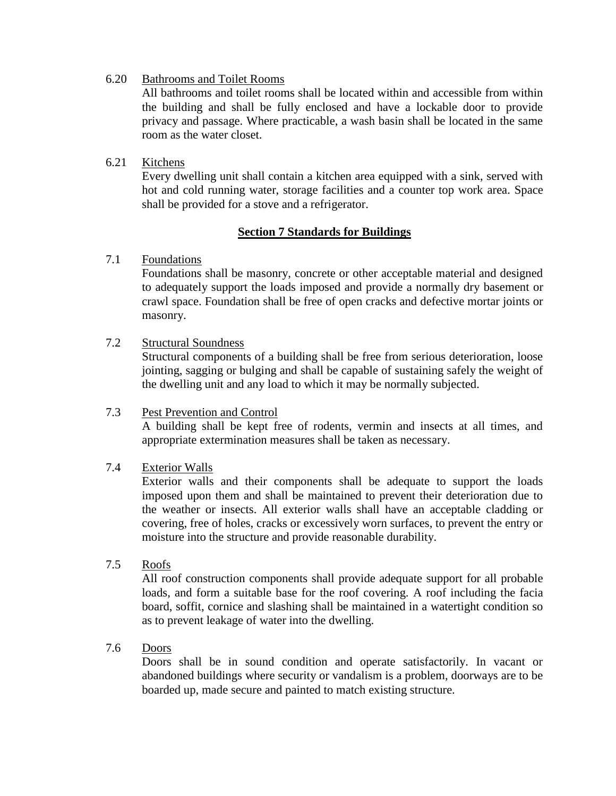6.20 Bathrooms and Toilet Rooms

All bathrooms and toilet rooms shall be located within and accessible from within the building and shall be fully enclosed and have a lockable door to provide privacy and passage. Where practicable, a wash basin shall be located in the same room as the water closet.

#### 6.21 Kitchens

Every dwelling unit shall contain a kitchen area equipped with a sink, served with hot and cold running water, storage facilities and a counter top work area. Space shall be provided for a stove and a refrigerator.

### **Section 7 Standards for Buildings**

### 7.1 Foundations

Foundations shall be masonry, concrete or other acceptable material and designed to adequately support the loads imposed and provide a normally dry basement or crawl space. Foundation shall be free of open cracks and defective mortar joints or masonry.

### 7.2 Structural Soundness

Structural components of a building shall be free from serious deterioration, loose jointing, sagging or bulging and shall be capable of sustaining safely the weight of the dwelling unit and any load to which it may be normally subjected.

#### 7.3 Pest Prevention and Control

A building shall be kept free of rodents, vermin and insects at all times, and appropriate extermination measures shall be taken as necessary.

#### 7.4 Exterior Walls

Exterior walls and their components shall be adequate to support the loads imposed upon them and shall be maintained to prevent their deterioration due to the weather or insects. All exterior walls shall have an acceptable cladding or covering, free of holes, cracks or excessively worn surfaces, to prevent the entry or moisture into the structure and provide reasonable durability.

### 7.5 Roofs

All roof construction components shall provide adequate support for all probable loads, and form a suitable base for the roof covering. A roof including the facia board, soffit, cornice and slashing shall be maintained in a watertight condition so as to prevent leakage of water into the dwelling.

#### 7.6 Doors

Doors shall be in sound condition and operate satisfactorily. In vacant or abandoned buildings where security or vandalism is a problem, doorways are to be boarded up, made secure and painted to match existing structure.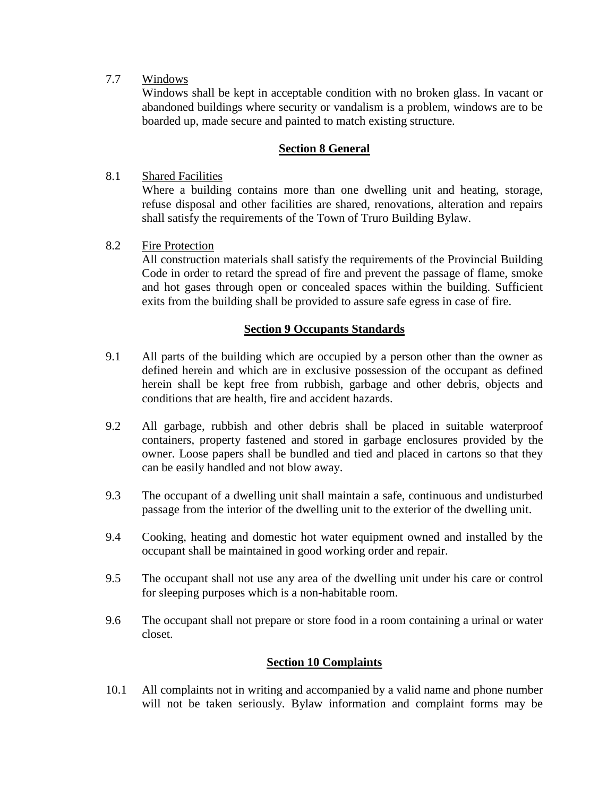7.7 Windows

Windows shall be kept in acceptable condition with no broken glass. In vacant or abandoned buildings where security or vandalism is a problem, windows are to be boarded up, made secure and painted to match existing structure.

## **Section 8 General**

### 8.1 Shared Facilities

Where a building contains more than one dwelling unit and heating, storage, refuse disposal and other facilities are shared, renovations, alteration and repairs shall satisfy the requirements of the Town of Truro Building Bylaw.

### 8.2 Fire Protection

All construction materials shall satisfy the requirements of the Provincial Building Code in order to retard the spread of fire and prevent the passage of flame, smoke and hot gases through open or concealed spaces within the building. Sufficient exits from the building shall be provided to assure safe egress in case of fire.

### **Section 9 Occupants Standards**

- 9.1 All parts of the building which are occupied by a person other than the owner as defined herein and which are in exclusive possession of the occupant as defined herein shall be kept free from rubbish, garbage and other debris, objects and conditions that are health, fire and accident hazards.
- 9.2 All garbage, rubbish and other debris shall be placed in suitable waterproof containers, property fastened and stored in garbage enclosures provided by the owner. Loose papers shall be bundled and tied and placed in cartons so that they can be easily handled and not blow away.
- 9.3 The occupant of a dwelling unit shall maintain a safe, continuous and undisturbed passage from the interior of the dwelling unit to the exterior of the dwelling unit.
- 9.4 Cooking, heating and domestic hot water equipment owned and installed by the occupant shall be maintained in good working order and repair.
- 9.5 The occupant shall not use any area of the dwelling unit under his care or control for sleeping purposes which is a non-habitable room.
- 9.6 The occupant shall not prepare or store food in a room containing a urinal or water closet.

#### **Section 10 Complaints**

10.1 All complaints not in writing and accompanied by a valid name and phone number will not be taken seriously. Bylaw information and complaint forms may be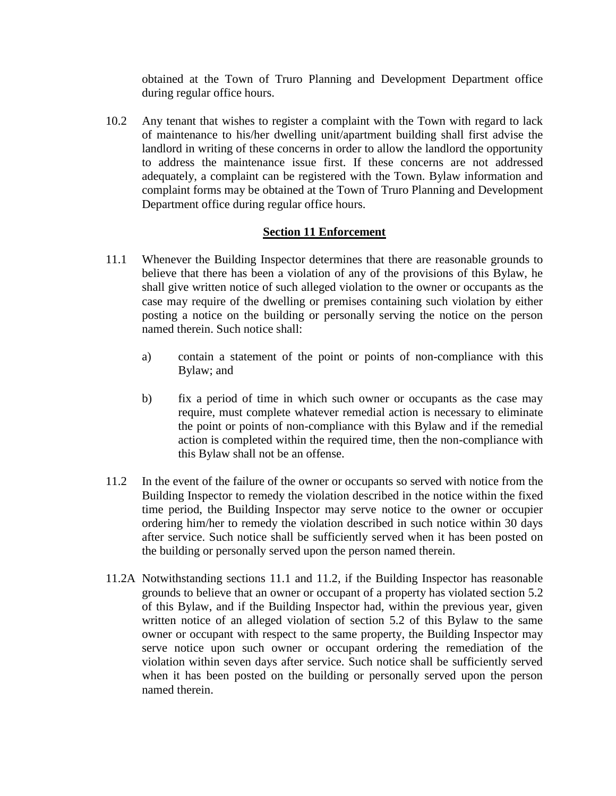obtained at the Town of Truro Planning and Development Department office during regular office hours.

10.2 Any tenant that wishes to register a complaint with the Town with regard to lack of maintenance to his/her dwelling unit/apartment building shall first advise the landlord in writing of these concerns in order to allow the landlord the opportunity to address the maintenance issue first. If these concerns are not addressed adequately, a complaint can be registered with the Town. Bylaw information and complaint forms may be obtained at the Town of Truro Planning and Development Department office during regular office hours.

### **Section 11 Enforcement**

- 11.1 Whenever the Building Inspector determines that there are reasonable grounds to believe that there has been a violation of any of the provisions of this Bylaw, he shall give written notice of such alleged violation to the owner or occupants as the case may require of the dwelling or premises containing such violation by either posting a notice on the building or personally serving the notice on the person named therein. Such notice shall:
	- a) contain a statement of the point or points of non-compliance with this Bylaw; and
	- b) fix a period of time in which such owner or occupants as the case may require, must complete whatever remedial action is necessary to eliminate the point or points of non-compliance with this Bylaw and if the remedial action is completed within the required time, then the non-compliance with this Bylaw shall not be an offense.
- 11.2 In the event of the failure of the owner or occupants so served with notice from the Building Inspector to remedy the violation described in the notice within the fixed time period, the Building Inspector may serve notice to the owner or occupier ordering him/her to remedy the violation described in such notice within 30 days after service. Such notice shall be sufficiently served when it has been posted on the building or personally served upon the person named therein.
- 11.2A Notwithstanding sections 11.1 and 11.2, if the Building Inspector has reasonable grounds to believe that an owner or occupant of a property has violated section 5.2 of this Bylaw, and if the Building Inspector had, within the previous year, given written notice of an alleged violation of section 5.2 of this Bylaw to the same owner or occupant with respect to the same property, the Building Inspector may serve notice upon such owner or occupant ordering the remediation of the violation within seven days after service. Such notice shall be sufficiently served when it has been posted on the building or personally served upon the person named therein.